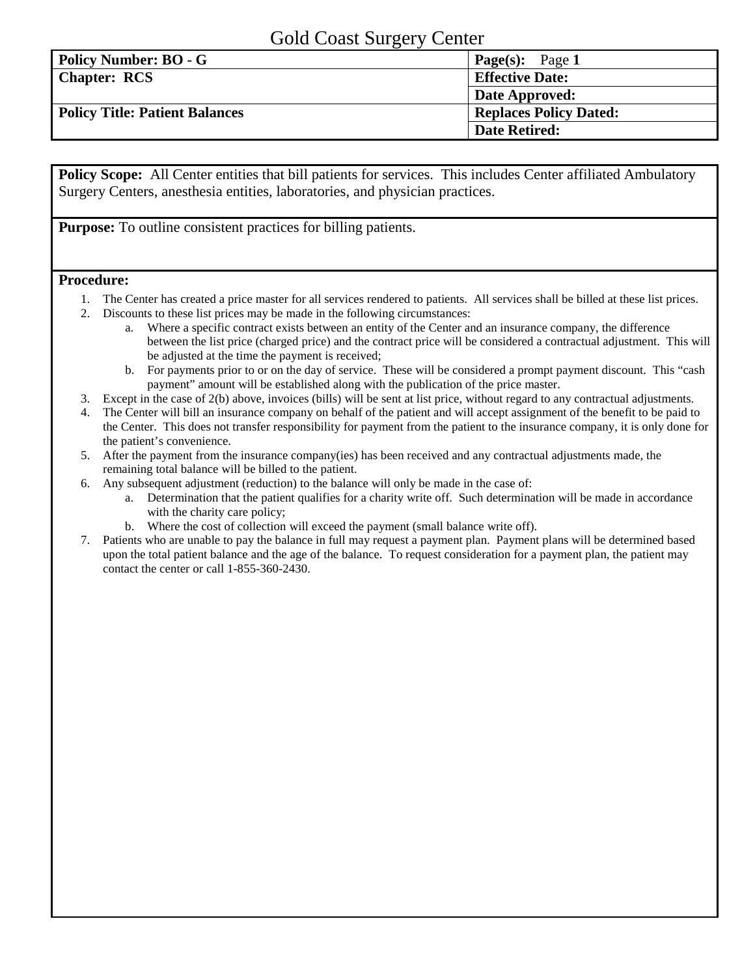## Gold Coast Surgery Center

| ັ                                     |                               |
|---------------------------------------|-------------------------------|
| <b>Policy Number: BO - G</b>          | <b>Page(s):</b> Page 1        |
| <b>Chapter: RCS</b>                   | <b>Effective Date:</b>        |
|                                       | Date Approved:                |
| <b>Policy Title: Patient Balances</b> | <b>Replaces Policy Dated:</b> |
|                                       | <b>Date Retired:</b>          |

**Policy Scope:** All Center entities that bill patients for services. This includes Center affiliated Ambulatory Surgery Centers, anesthesia entities, laboratories, and physician practices.

**Purpose:** To outline consistent practices for billing patients.

## **Procedure:**

- 1. The Center has created a price master for all services rendered to patients. All services shall be billed at these list prices.
- 2. Discounts to these list prices may be made in the following circumstances:
	- a. Where a specific contract exists between an entity of the Center and an insurance company, the difference between the list price (charged price) and the contract price will be considered a contractual adjustment. This will be adjusted at the time the payment is received;
	- b. For payments prior to or on the day of service. These will be considered a prompt payment discount. This "cash payment" amount will be established along with the publication of the price master.
- 3. Except in the case of 2(b) above, invoices (bills) will be sent at list price, without regard to any contractual adjustments.
- 4. The Center will bill an insurance company on behalf of the patient and will accept assignment of the benefit to be paid to the Center. This does not transfer responsibility for payment from the patient to the insurance company, it is only done for the patient's convenience.
- 5. After the payment from the insurance company(ies) has been received and any contractual adjustments made, the remaining total balance will be billed to the patient.
- 6. Any subsequent adjustment (reduction) to the balance will only be made in the case of:
	- a. Determination that the patient qualifies for a charity write off. Such determination will be made in accordance with the charity care policy;
	- b. Where the cost of collection will exceed the payment (small balance write off).
- 7. Patients who are unable to pay the balance in full may request a payment plan. Payment plans will be determined based upon the total patient balance and the age of the balance. To request consideration for a payment plan, the patient may contact the center or call 1-855-360-2430.